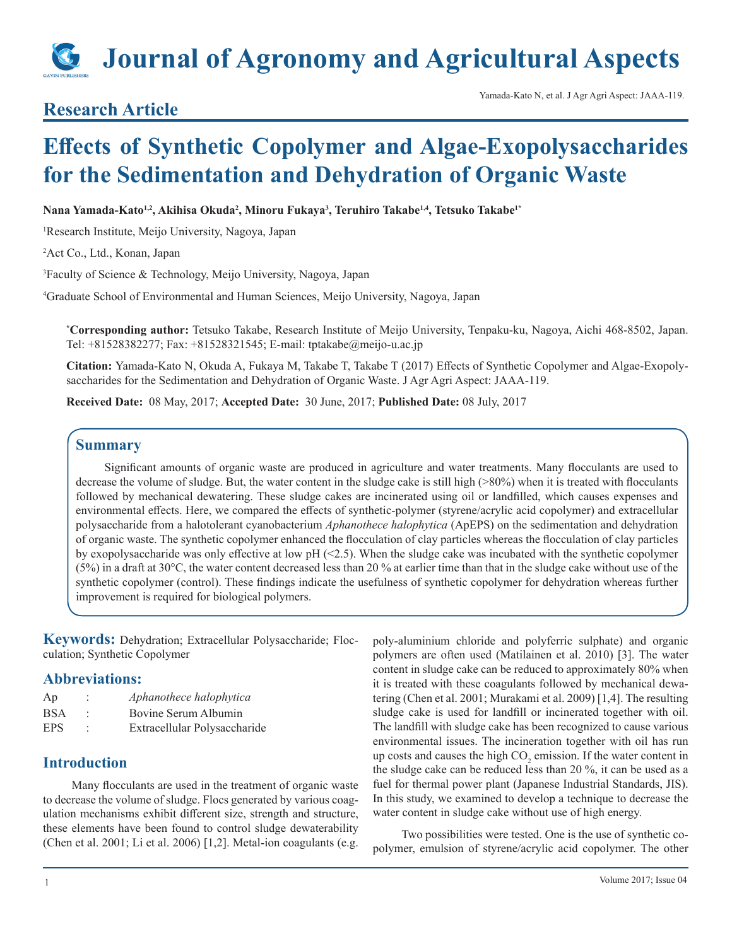# **Journal of Agronomy and Agricultural Aspects**

### **Research Article**

## **Effects of Synthetic Copolymer and Algae-Exopolysaccharides for the Sedimentation and Dehydration of Organic Waste**

**Nana Yamada-Kato1,2, Akihisa Okuda<sup>2</sup> , Minoru Fukaya3 , Teruhiro Takabe1,4, Tetsuko Takabe1\***

1 Research Institute, Meijo University, Nagoya, Japan

2 Act Co., Ltd., Konan, Japan

3 Faculty of Science & Technology, Meijo University, Nagoya, Japan

4 Graduate School of Environmental and Human Sciences, Meijo University, Nagoya, Japan

**\* Corresponding author:** Tetsuko Takabe, Research Institute of Meijo University, Tenpaku-ku, Nagoya, Aichi 468-8502, Japan. Tel: +81528382277; Fax: +81528321545; E-mail: tptakabe@meijo-u.ac.jp

**Citation:** Yamada-Kato N, Okuda A, Fukaya M, Takabe T, Takabe T (2017) Effects of Synthetic Copolymer and Algae-Exopolysaccharides for the Sedimentation and Dehydration of Organic Waste. J Agr Agri Aspect: JAAA-119.

**Received Date:** 08 May, 2017; **Accepted Date:** 30 June, 2017; **Published Date:** 08 July, 2017

#### **Summary**

Significant amounts of organic waste are produced in agriculture and water treatments. Many flocculants are used to decrease the volume of sludge. But, the water content in the sludge cake is still high (>80%) when it is treated with flocculants followed by mechanical dewatering. These sludge cakes are incinerated using oil or landfilled, which causes expenses and environmental effects. Here, we compared the effects of synthetic-polymer (styrene/acrylic acid copolymer) and extracellular polysaccharide from a halotolerant cyanobacterium *Aphanothece halophytica* (ApEPS) on the sedimentation and dehydration of organic waste. The synthetic copolymer enhanced the flocculation of clay particles whereas the flocculation of clay particles by exopolysaccharide was only effective at low  $pH$  (<2.5). When the sludge cake was incubated with the synthetic copolymer  $(5%)$  in a draft at 30°C, the water content decreased less than 20 % at earlier time than that in the sludge cake without use of the synthetic copolymer (control). These findings indicate the usefulness of synthetic copolymer for dehydration whereas further improvement is required for biological polymers.

**Keywords:** Dehydration; Extracellular Polysaccharide; Flocculation; Synthetic Copolymer

#### **Abbreviations:**

| Ap  | Aphanothece halophytica      |
|-----|------------------------------|
| BSA | Bovine Serum Albumin         |
| EPS | Extracellular Polysaccharide |

#### **Introduction**

Many flocculants are used in the treatment of organic waste to decrease the volume of sludge. Flocs generated by various coagulation mechanisms exhibit different size, strength and structure, these elements have been found to control sludge dewaterability (Chen et al. 2001; Li et al. 2006) [1,2]. Metal-ion coagulants (e.g. poly-aluminium chloride and polyferric sulphate) and organic polymers are often used (Matilainen et al. 2010) [3]. The water content in sludge cake can be reduced to approximately 80% when it is treated with these coagulants followed by mechanical dewatering (Chen et al. 2001; Murakami et al. 2009) [1,4]. The resulting sludge cake is used for landfill or incinerated together with oil. The landfill with sludge cake has been recognized to cause various environmental issues. The incineration together with oil has run up costs and causes the high  $CO_2$  emission. If the water content in the sludge cake can be reduced less than 20 %, it can be used as a fuel for thermal power plant (Japanese Industrial Standards, JIS). In this study, we examined to develop a technique to decrease the water content in sludge cake without use of high energy.

Two possibilities were tested. One is the use of synthetic copolymer, emulsion of styrene/acrylic acid copolymer. The other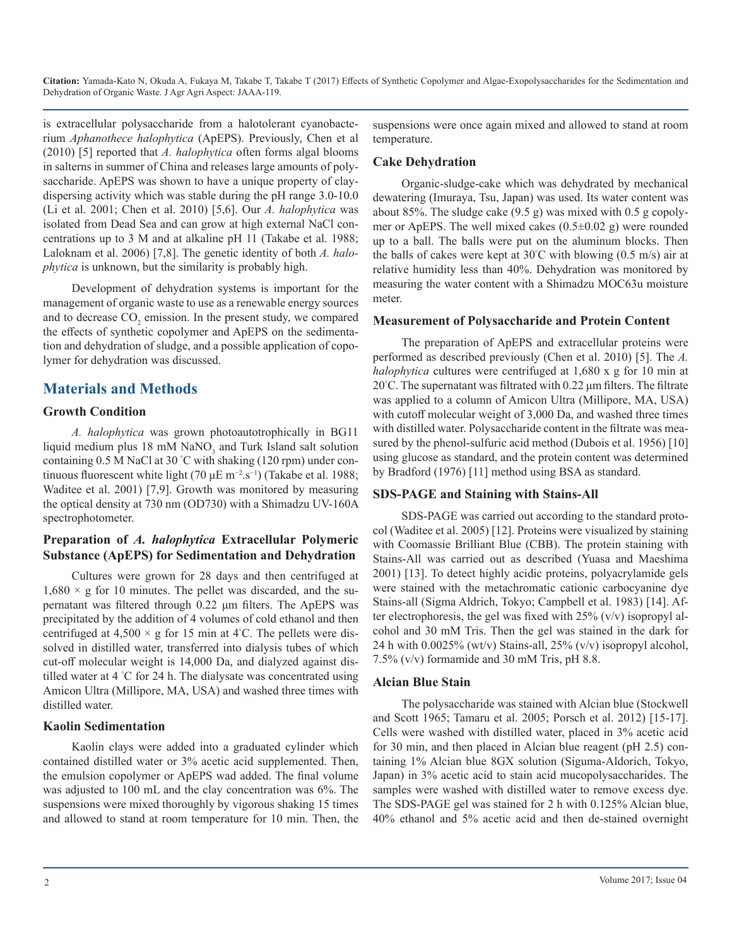is extracellular polysaccharide from a halotolerant cyanobacterium *Aphanothece halophytica* (ApEPS). Previously, Chen et al (2010) [5] reported that *A. halophytica* often forms algal blooms in salterns in summer of China and releases large amounts of polysaccharide. ApEPS was shown to have a unique property of claydispersing activity which was stable during the pH range 3.0-10.0 (Li et al. 2001; Chen et al. 2010) [5,6]. Our *A. halophytica* was isolated from Dead Sea and can grow at high external NaCl concentrations up to 3 M and at alkaline pH 11 (Takabe et al. 1988; Laloknam et al. 2006) [7,8]. The genetic identity of both *A. halophytica* is unknown, but the similarity is probably high.

Development of dehydration systems is important for the management of organic waste to use as a renewable energy sources and to decrease  $CO_2$  emission. In the present study, we compared the effects of synthetic copolymer and ApEPS on the sedimentation and dehydration of sludge, and a possible application of copolymer for dehydration was discussed.

#### **Materials and Methods**

#### **Growth Condition**

*A. halophytica* was grown photoautotrophically in BG11 liquid medium plus  $18 \text{ mM }$  NaNO<sub>3</sub> and Turk Island salt solution containing 0.5 M NaCl at 30 ° C with shaking (120 rpm) under continuous fluorescent white light (70 μE m<sup>-2</sup>.s<sup>-1</sup>) (Takabe et al. 1988; Waditee et al. 2001) [7,9]. Growth was monitored by measuring the optical density at 730 nm (OD730) with a Shimadzu UV-160A spectrophotometer.

#### **Preparation of** *A. halophytica* **Extracellular Polymeric Substance (ApEPS) for Sedimentation and Dehydration**

Cultures were grown for 28 days and then centrifuged at  $1,680 \times g$  for 10 minutes. The pellet was discarded, and the supernatant was filtered through 0.22 μm filters. The ApEPS was precipitated by the addition of 4 volumes of cold ethanol and then centrifuged at 4,500  $\times$  g for 15 min at 4°C. The pellets were dissolved in distilled water, transferred into dialysis tubes of which cut-off molecular weight is 14,000 Da, and dialyzed against distilled water at 4 ° C for 24 h. The dialysate was concentrated using Amicon Ultra (Millipore, MA, USA) and washed three times with distilled water.

#### **Kaolin Sedimentation**

Kaolin clays were added into a graduated cylinder which contained distilled water or 3% acetic acid supplemented. Then, the emulsion copolymer or ApEPS wad added. The final volume was adjusted to 100 mL and the clay concentration was 6%. The suspensions were mixed thoroughly by vigorous shaking 15 times and allowed to stand at room temperature for 10 min. Then, the suspensions were once again mixed and allowed to stand at room temperature.

#### **Cake Dehydration**

Organic-sludge-cake which was dehydrated by mechanical dewatering (Imuraya, Tsu, Japan) was used. Its water content was about 85%. The sludge cake (9.5 g) was mixed with 0.5 g copolymer or ApEPS. The well mixed cakes  $(0.5\pm0.02 \text{ g})$  were rounded up to a ball. The balls were put on the aluminum blocks. Then the balls of cakes were kept at 30° C with blowing (0.5 m/s) air at relative humidity less than 40%. Dehydration was monitored by measuring the water content with a Shimadzu MOC63u moisture meter.

#### **Measurement of Polysaccharide and Protein Content**

The preparation of ApEPS and extracellular proteins were performed as described previously (Chen et al. 2010) [5]. The *A. halophytica* cultures were centrifuged at 1,680 x g for 10 min at 20° C. The supernatant was filtrated with 0.22 μm filters. The filtrate was applied to a column of Amicon Ultra (Millipore, MA, USA) with cutoff molecular weight of 3,000 Da, and washed three times with distilled water. Polysaccharide content in the filtrate was measured by the phenol-sulfuric acid method (Dubois et al. 1956) [10] using glucose as standard, and the protein content was determined by Bradford (1976) [11] method using BSA as standard.

#### **SDS-PAGE and Staining with Stains-All**

SDS-PAGE was carried out according to the standard protocol (Waditee et al. 2005) [12]. Proteins were visualized by staining with Coomassie Brilliant Blue (CBB). The protein staining with Stains-All was carried out as described (Yuasa and Maeshima 2001) [13]. To detect highly acidic proteins, polyacrylamide gels were stained with the metachromatic cationic carbocyanine dye Stains-all (Sigma Aldrich, Tokyo; Campbell et al. 1983) [14]. After electrophoresis, the gel was fixed with  $25\%$  (v/v) isopropyl alcohol and 30 mM Tris. Then the gel was stained in the dark for 24 h with 0.0025% (wt/v) Stains-all, 25% (v/v) isopropyl alcohol, 7.5% (v/v) formamide and 30 mM Tris, pH 8.8.

#### **Alcian Blue Stain**

The polysaccharide was stained with Alcian blue (Stockwell and Scott 1965; Tamaru et al. 2005; Porsch et al. 2012) [15-17]. Cells were washed with distilled water, placed in 3% acetic acid for 30 min, and then placed in Alcian blue reagent (pH 2.5) containing 1% Alcian blue 8GX solution (Siguma-Aldorich, Tokyo, Japan) in 3% acetic acid to stain acid mucopolysaccharides. The samples were washed with distilled water to remove excess dye. The SDS-PAGE gel was stained for 2 h with 0.125% Alcian blue, 40% ethanol and 5% acetic acid and then de-stained overnight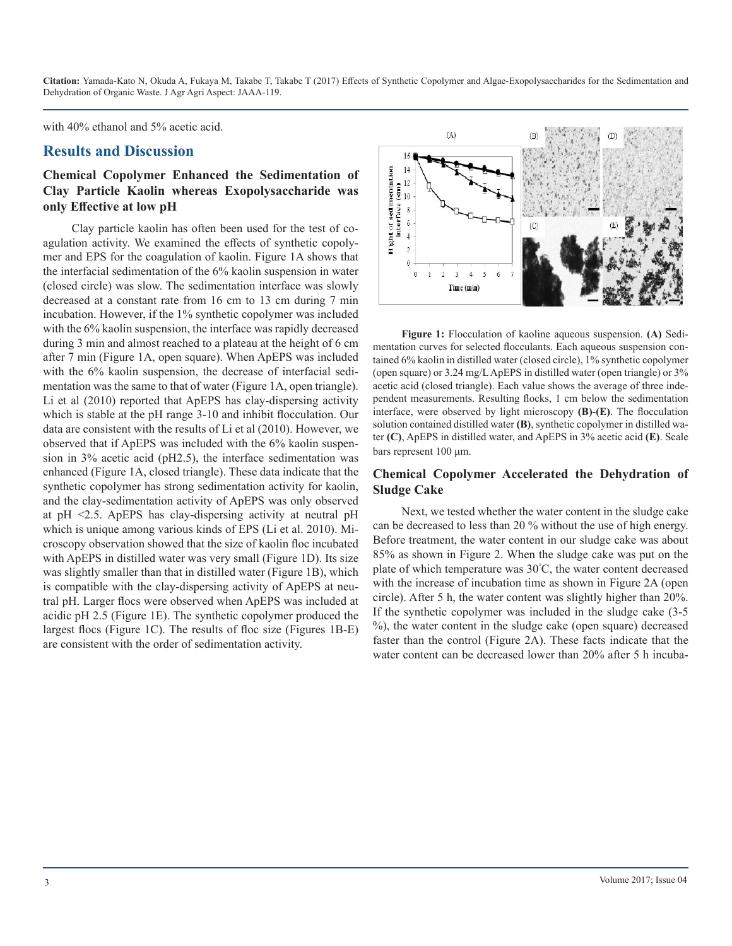with 40% ethanol and 5% acetic acid.

#### **Results and Discussion**

#### **Chemical Copolymer Enhanced the Sedimentation of Clay Particle Kaolin whereas Exopolysaccharide was only Effective at low pH**

Clay particle kaolin has often been used for the test of coagulation activity. We examined the effects of synthetic copolymer and EPS for the coagulation of kaolin. Figure 1A shows that the interfacial sedimentation of the 6% kaolin suspension in water (closed circle) was slow. The sedimentation interface was slowly decreased at a constant rate from 16 cm to 13 cm during 7 min incubation. However, if the 1% synthetic copolymer was included with the 6% kaolin suspension, the interface was rapidly decreased during 3 min and almost reached to a plateau at the height of 6 cm after 7 min (Figure 1A, open square). When ApEPS was included with the 6% kaolin suspension, the decrease of interfacial sedimentation was the same to that of water (Figure 1A, open triangle). Li et al (2010) reported that ApEPS has clay-dispersing activity which is stable at the pH range 3-10 and inhibit flocculation. Our data are consistent with the results of Li et al (2010). However, we observed that if ApEPS was included with the 6% kaolin suspension in 3% acetic acid (pH2.5), the interface sedimentation was enhanced (Figure 1A, closed triangle). These data indicate that the synthetic copolymer has strong sedimentation activity for kaolin, and the clay-sedimentation activity of ApEPS was only observed at pH <2.5. ApEPS has clay-dispersing activity at neutral pH which is unique among various kinds of EPS (Li et al. 2010). Microscopy observation showed that the size of kaolin floc incubated with ApEPS in distilled water was very small (Figure 1D). Its size was slightly smaller than that in distilled water (Figure 1B), which is compatible with the clay-dispersing activity of ApEPS at neutral pH. Larger flocs were observed when ApEPS was included at acidic pH 2.5 (Figure 1E). The synthetic copolymer produced the largest flocs (Figure 1C). The results of floc size (Figures 1B-E) are consistent with the order of sedimentation activity.



**Figure 1:** Flocculation of kaoline aqueous suspension. **(A)** Sedimentation curves for selected flocculants. Each aqueous suspension contained 6% kaolin in distilled water (closed circle), 1% synthetic copolymer (open square) or 3.24 mg/L ApEPS in distilled water (open triangle) or 3% acetic acid (closed triangle). Each value shows the average of three independent measurements. Resulting flocks, 1 cm below the sedimentation interface, were observed by light microscopy **(B)-(E)**. The flocculation solution contained distilled water **(B)**, synthetic copolymer in distilled water **(C)**, ApEPS in distilled water, and ApEPS in 3% acetic acid **(E)**. Scale bars represent 100 μm.

#### **Chemical Copolymer Accelerated the Dehydration of Sludge Cake**

Next, we tested whether the water content in the sludge cake can be decreased to less than 20 % without the use of high energy. Before treatment, the water content in our sludge cake was about 85% as shown in Figure 2. When the sludge cake was put on the plate of which temperature was 30° C, the water content decreased with the increase of incubation time as shown in Figure 2A (open circle). After 5 h, the water content was slightly higher than 20%. If the synthetic copolymer was included in the sludge cake (3-5 %), the water content in the sludge cake (open square) decreased faster than the control (Figure 2A). These facts indicate that the water content can be decreased lower than 20% after 5 h incuba-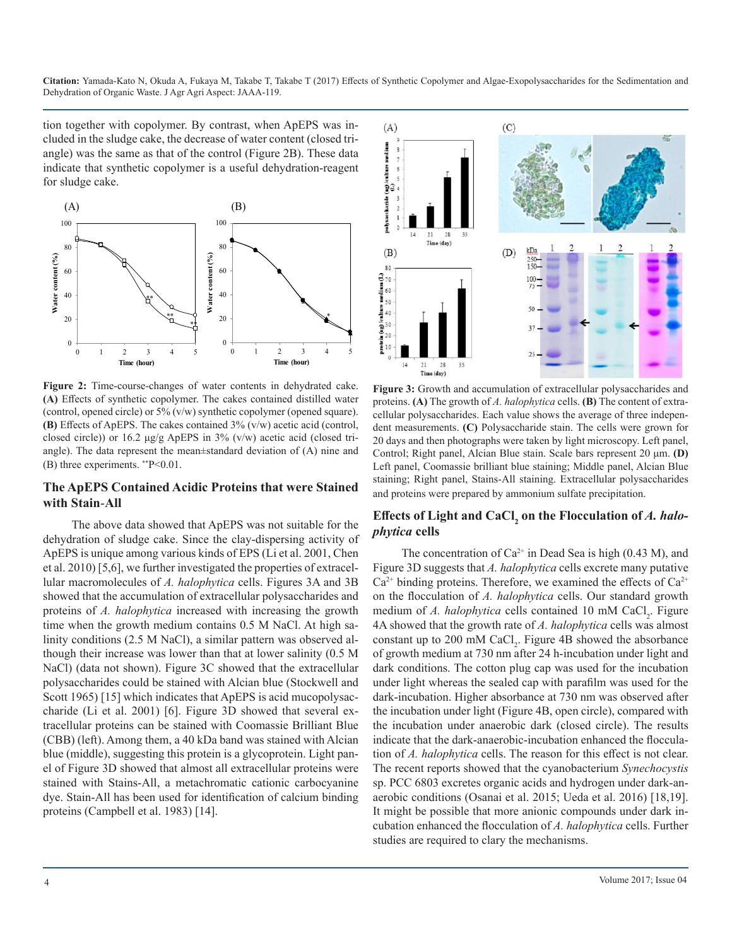tion together with copolymer. By contrast, when ApEPS was included in the sludge cake, the decrease of water content (closed triangle) was the same as that of the control (Figure 2B). These data indicate that synthetic copolymer is a useful dehydration-reagent for sludge cake.



**Figure 2:** Time-course-changes of water contents in dehydrated cake. **(A)** Effects of synthetic copolymer. The cakes contained distilled water (control, opened circle) or 5% (v/w) synthetic copolymer (opened square). **(B)** Effects of ApEPS. The cakes contained 3% (v/w) acetic acid (control, closed circle)) or 16.2 μg/g ApEPS in 3% (v/w) acetic acid (closed triangle). The data represent the mean±standard deviation of (A) nine and (B) three experiments. \*\*P<0.01.

#### **The ApEPS Contained Acidic Proteins that were Stained with Stain**-**All**

The above data showed that ApEPS was not suitable for the dehydration of sludge cake. Since the clay-dispersing activity of ApEPS is unique among various kinds of EPS (Li et al. 2001, Chen et al. 2010) [5,6], we further investigated the properties of extracellular macromolecules of *A. halophytica* cells. Figures 3A and 3B showed that the accumulation of extracellular polysaccharides and proteins of *A. halophytica* increased with increasing the growth time when the growth medium contains 0.5 M NaCl. At high salinity conditions (2.5 M NaCl), a similar pattern was observed although their increase was lower than that at lower salinity (0.5 M NaCl) (data not shown). Figure 3C showed that the extracellular polysaccharides could be stained with Alcian blue (Stockwell and Scott 1965) [15] which indicates that ApEPS is acid mucopolysaccharide (Li et al. 2001) [6]. Figure 3D showed that several extracellular proteins can be stained with Coomassie Brilliant Blue (CBB) (left). Among them, a 40 kDa band was stained with Alcian blue (middle), suggesting this protein is a glycoprotein. Light panel of Figure 3D showed that almost all extracellular proteins were stained with Stains-All, a metachromatic cationic carbocyanine dye. Stain-All has been used for identification of calcium binding proteins (Campbell et al. 1983) [14].



**Figure 3:** Growth and accumulation of extracellular polysaccharides and proteins. **(A)** The growth of *A. halophytica* cells. **(B)** The content of extracellular polysaccharides. Each value shows the average of three independent measurements. **(C)** Polysaccharide stain. The cells were grown for 20 days and then photographs were taken by light microscopy. Left panel, Control; Right panel, Alcian Blue stain. Scale bars represent 20 μm. **(D)** Left panel, Coomassie brilliant blue staining; Middle panel, Alcian Blue staining; Right panel, Stains-All staining. Extracellular polysaccharides and proteins were prepared by ammonium sulfate precipitation.

#### **Effects of Light and CaCl<sup>2</sup> on the Flocculation of** *A. halophytica* **cells**

The concentration of  $Ca^{2+}$  in Dead Sea is high (0.43 M), and Figure 3D suggests that *A. halophytica* cells excrete many putative  $Ca^{2+}$  binding proteins. Therefore, we examined the effects of  $Ca^{2+}$ on the flocculation of *A. halophytica* cells. Our standard growth medium of *A. halophytica* cells contained 10 mM CaCl<sub>2</sub>. Figure 4A showed that the growth rate of *A. halophytica* cells was almost constant up to 200 mM CaCl<sub>2</sub>. Figure 4B showed the absorbance of growth medium at 730 nm after 24 h-incubation under light and dark conditions. The cotton plug cap was used for the incubation under light whereas the sealed cap with parafilm was used for the dark-incubation. Higher absorbance at 730 nm was observed after the incubation under light (Figure 4B, open circle), compared with the incubation under anaerobic dark (closed circle). The results indicate that the dark-anaerobic-incubation enhanced the flocculation of *A. halophytica* cells. The reason for this effect is not clear. The recent reports showed that the cyanobacterium *Synechocystis*  sp. PCC 6803 excretes organic acids and hydrogen under dark-anaerobic conditions (Osanai et al. 2015; Ueda et al. 2016) [18,19]. It might be possible that more anionic compounds under dark incubation enhanced the flocculation of *A. halophytica* cells. Further studies are required to clary the mechanisms.